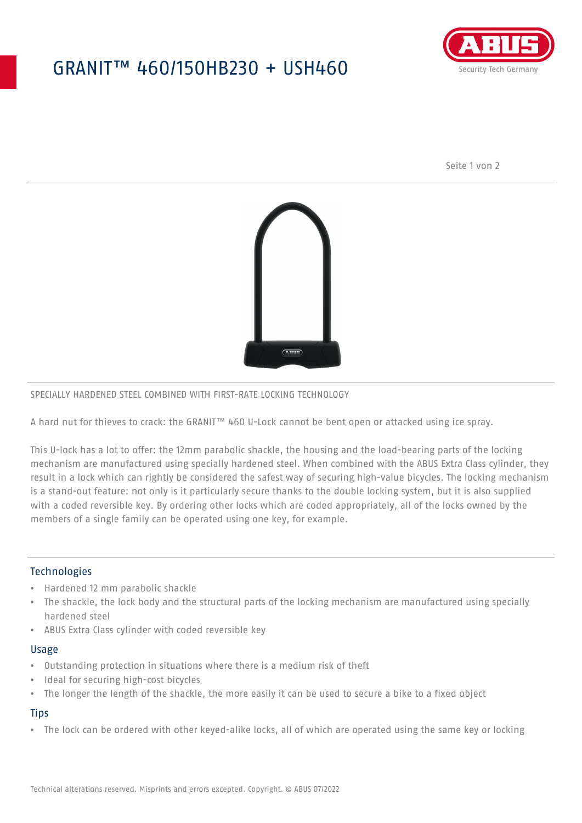## GRANIT™ 460/150HB230 + USH460



Seite 1 von 2



#### SPECIALLY HARDENED STEEL COMBINED WITH FIRST-RATE LOCKING TECHNOLOGY

A hard nut for thieves to crack: the GRANIT™ 460 U-Lock cannot be bent open or attacked using ice spray.

This U-lock has a lot to offer: the 12mm parabolic shackle, the housing and the load-bearing parts of the locking mechanism are manufactured using specially hardened steel. When combined with the ABUS Extra Class cylinder, they result in a lock which can rightly be considered the safest way of securing high-value bicycles. The locking mechanism is a stand-out feature: not only is it particularly secure thanks to the double locking system, but it is also supplied with a coded reversible key. By ordering other locks which are coded appropriately, all of the locks owned by the members of a single family can be operated using one key, for example.

#### **Technologies**

- Hardened 12 mm parabolic shackle
- The shackle, the lock body and the structural parts of the locking mechanism are manufactured using specially hardened steel
- ABUS Extra Class cylinder with coded reversible key

#### Usage

- Outstanding protection in situations where there is a medium risk of theft
- Ideal for securing high-cost bicycles
- The longer the length of the shackle, the more easily it can be used to secure a bike to a fixed object

### **Tips**

• The lock can be ordered with other keyed-alike locks, all of which are operated using the same key or locking